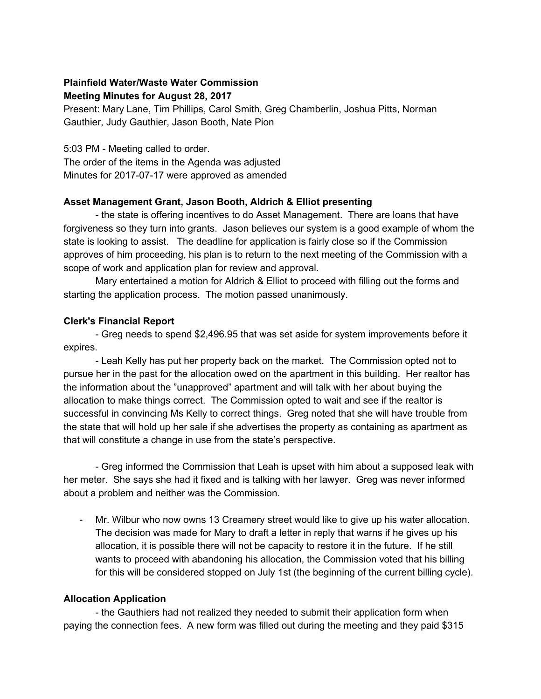## **Plainfield Water/Waste Water Commission Meeting Minutes for August 28, 2017**

Present: Mary Lane, Tim Phillips, Carol Smith, Greg Chamberlin, Joshua Pitts, Norman Gauthier, Judy Gauthier, Jason Booth, Nate Pion

5:03 PM - Meeting called to order.

The order of the items in the Agenda was adjusted Minutes for 2017-07-17 were approved as amended

# **Asset Management Grant, Jason Booth, Aldrich & Elliot presenting**

- the state is offering incentives to do Asset Management. There are loans that have forgiveness so they turn into grants. Jason believes our system is a good example of whom the state is looking to assist. The deadline for application is fairly close so if the Commission approves of him proceeding, his plan is to return to the next meeting of the Commission with a scope of work and application plan for review and approval.

Mary entertained a motion for Aldrich & Elliot to proceed with filling out the forms and starting the application process. The motion passed unanimously.

## **Clerk's Financial Report**

- Greg needs to spend \$2,496.95 that was set aside for system improvements before it expires.

- Leah Kelly has put her property back on the market. The Commission opted not to pursue her in the past for the allocation owed on the apartment in this building. Her realtor has the information about the "unapproved" apartment and will talk with her about buying the allocation to make things correct. The Commission opted to wait and see if the realtor is successful in convincing Ms Kelly to correct things. Greg noted that she will have trouble from the state that will hold up her sale if she advertises the property as containing as apartment as that will constitute a change in use from the state's perspective.

- Greg informed the Commission that Leah is upset with him about a supposed leak with her meter. She says she had it fixed and is talking with her lawyer. Greg was never informed about a problem and neither was the Commission.

Mr. Wilbur who now owns 13 Creamery street would like to give up his water allocation. The decision was made for Mary to draft a letter in reply that warns if he gives up his allocation, it is possible there will not be capacity to restore it in the future. If he still wants to proceed with abandoning his allocation, the Commission voted that his billing for this will be considered stopped on July 1st (the beginning of the current billing cycle).

#### **Allocation Application**

- the Gauthiers had not realized they needed to submit their application form when paying the connection fees. A new form was filled out during the meeting and they paid \$315